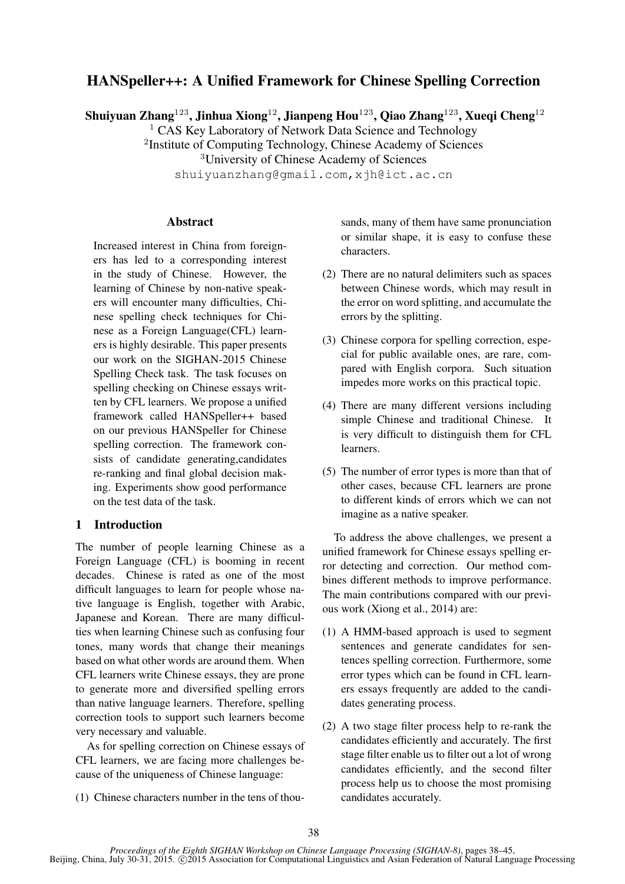# HANSpeller++: A Unified Framework for Chinese Spelling Correction

Shuiyuan Zhang<sup>123</sup>, Jinhua Xiong<sup>12</sup>, Jianpeng Hou<sup>123</sup>, Qiao Zhang<sup>123</sup>, Xueqi Cheng<sup>12</sup>

<sup>1</sup> CAS Key Laboratory of Network Data Science and Technology

<sup>2</sup>Institute of Computing Technology, Chinese Academy of Sciences

<sup>3</sup>University of Chinese Academy of Sciences

shuiyuanzhang@gmail.com,xjh@ict.ac.cn

# **Abstract**

Increased interest in China from foreigners has led to a corresponding interest in the study of Chinese. However, the learning of Chinese by non-native speakers will encounter many difficulties, Chinese spelling check techniques for Chinese as a Foreign Language(CFL) learners is highly desirable. This paper presents our work on the SIGHAN-2015 Chinese Spelling Check task. The task focuses on spelling checking on Chinese essays written by CFL learners. We propose a unified framework called HANSpeller++ based on our previous HANSpeller for Chinese spelling correction. The framework consists of candidate generating,candidates re-ranking and final global decision making. Experiments show good performance on the test data of the task.

# 1 Introduction

The number of people learning Chinese as a Foreign Language (CFL) is booming in recent decades. Chinese is rated as one of the most difficult languages to learn for people whose native language is English, together with Arabic, Japanese and Korean. There are many difficulties when learning Chinese such as confusing four tones, many words that change their meanings based on what other words are around them. When CFL learners write Chinese essays, they are prone to generate more and diversified spelling errors than native language learners. Therefore, spelling correction tools to support such learners become very necessary and valuable.

As for spelling correction on Chinese essays of CFL learners, we are facing more challenges because of the uniqueness of Chinese language:

(1) Chinese characters number in the tens of thou-

sands, many of them have same pronunciation or similar shape, it is easy to confuse these characters.

- (2) There are no natural delimiters such as spaces between Chinese words, which may result in the error on word splitting, and accumulate the errors by the splitting.
- (3) Chinese corpora for spelling correction, especial for public available ones, are rare, compared with English corpora. Such situation impedes more works on this practical topic.
- (4) There are many different versions including simple Chinese and traditional Chinese. It is very difficult to distinguish them for CFL learners.
- (5) The number of error types is more than that of other cases, because CFL learners are prone to different kinds of errors which we can not imagine as a native speaker.

To address the above challenges, we present a unified framework for Chinese essays spelling error detecting and correction. Our method combines different methods to improve performance. The main contributions compared with our previous work (Xiong et al., 2014) are:

- (1) A HMM-based approach is used to segment sentences and generate candidates for sentences spelling correction. Furthermore, some error types which can be found in CFL learners essays frequently are added to the candidates generating process.
- (2) A two stage filter process help to re-rank the candidates efficiently and accurately. The first stage filter enable us to filter out a lot of wrong candidates efficiently, and the second filter process help us to choose the most promising candidates accurately.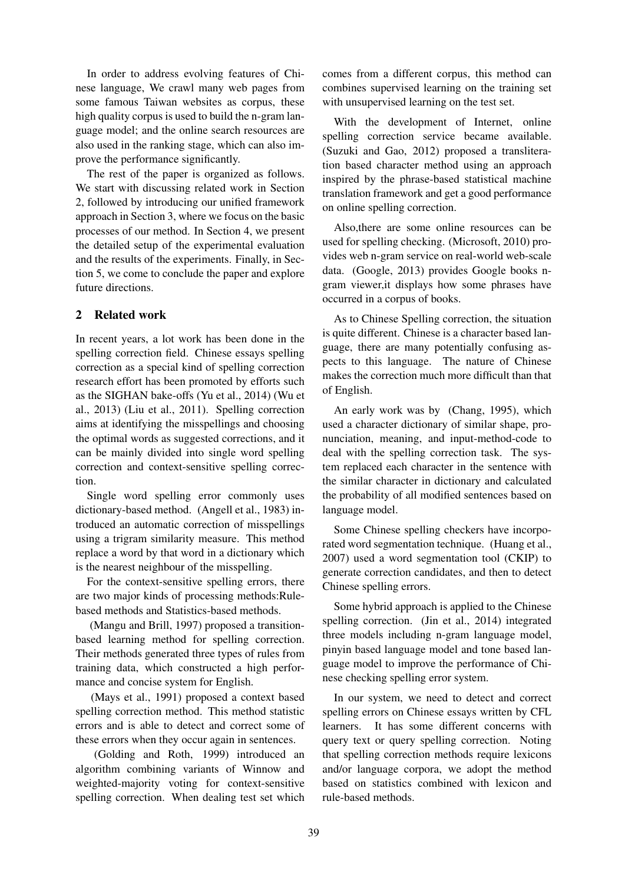In order to address evolving features of Chinese language, We crawl many web pages from some famous Taiwan websites as corpus, these high quality corpus is used to build the n-gram language model; and the online search resources are also used in the ranking stage, which can also improve the performance significantly.

The rest of the paper is organized as follows. We start with discussing related work in Section 2, followed by introducing our unified framework approach in Section 3, where we focus on the basic processes of our method. In Section 4, we present the detailed setup of the experimental evaluation and the results of the experiments. Finally, in Section 5, we come to conclude the paper and explore future directions.

# 2 Related work

In recent years, a lot work has been done in the spelling correction field. Chinese essays spelling correction as a special kind of spelling correction research effort has been promoted by efforts such as the SIGHAN bake-offs (Yu et al., 2014) (Wu et al., 2013) (Liu et al., 2011). Spelling correction aims at identifying the misspellings and choosing the optimal words as suggested corrections, and it can be mainly divided into single word spelling correction and context-sensitive spelling correction.

Single word spelling error commonly uses dictionary-based method. (Angell et al., 1983) introduced an automatic correction of misspellings using a trigram similarity measure. This method replace a word by that word in a dictionary which is the nearest neighbour of the misspelling.

For the context-sensitive spelling errors, there are two major kinds of processing methods:Rulebased methods and Statistics-based methods.

(Mangu and Brill, 1997) proposed a transitionbased learning method for spelling correction. Their methods generated three types of rules from training data, which constructed a high performance and concise system for English.

(Mays et al., 1991) proposed a context based spelling correction method. This method statistic errors and is able to detect and correct some of these errors when they occur again in sentences.

(Golding and Roth, 1999) introduced an algorithm combining variants of Winnow and weighted-majority voting for context-sensitive spelling correction. When dealing test set which

comes from a different corpus, this method can combines supervised learning on the training set with unsupervised learning on the test set.

With the development of Internet, online spelling correction service became available. (Suzuki and Gao, 2012) proposed a transliteration based character method using an approach inspired by the phrase-based statistical machine translation framework and get a good performance on online spelling correction.

Also,there are some online resources can be used for spelling checking. (Microsoft, 2010) provides web n-gram service on real-world web-scale data. (Google, 2013) provides Google books ngram viewer,it displays how some phrases have occurred in a corpus of books.

As to Chinese Spelling correction, the situation is quite different. Chinese is a character based language, there are many potentially confusing aspects to this language. The nature of Chinese makes the correction much more difficult than that of English.

An early work was by (Chang, 1995), which used a character dictionary of similar shape, pronunciation, meaning, and input-method-code to deal with the spelling correction task. The system replaced each character in the sentence with the similar character in dictionary and calculated the probability of all modified sentences based on language model.

Some Chinese spelling checkers have incorporated word segmentation technique. (Huang et al., 2007) used a word segmentation tool (CKIP) to generate correction candidates, and then to detect Chinese spelling errors.

Some hybrid approach is applied to the Chinese spelling correction. (Jin et al., 2014) integrated three models including n-gram language model, pinyin based language model and tone based language model to improve the performance of Chinese checking spelling error system.

In our system, we need to detect and correct spelling errors on Chinese essays written by CFL learners. It has some different concerns with query text or query spelling correction. Noting that spelling correction methods require lexicons and/or language corpora, we adopt the method based on statistics combined with lexicon and rule-based methods.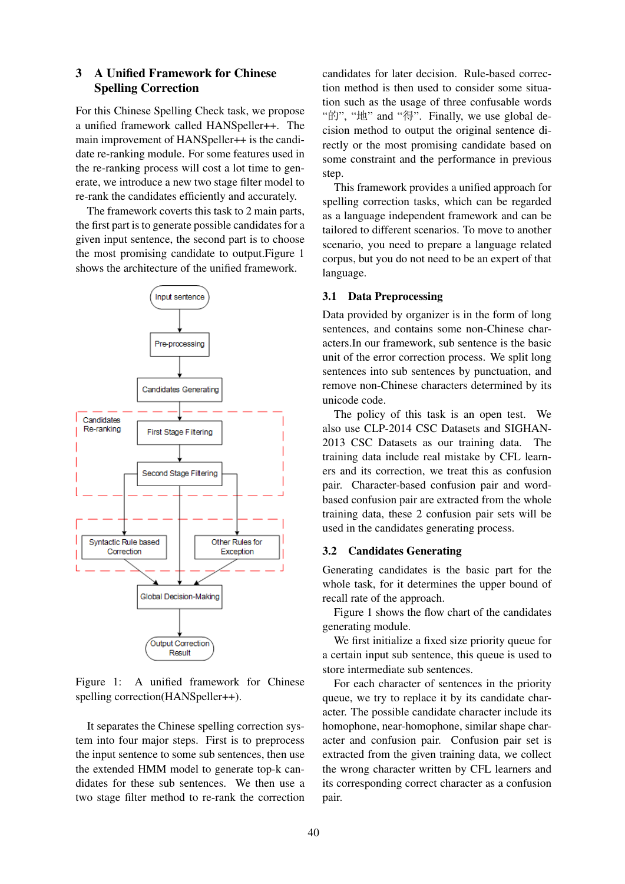# 3 A Unified Framework for Chinese Spelling Correction

For this Chinese Spelling Check task, we propose a unified framework called HANSpeller++. The main improvement of HANSpeller++ is the candidate re-ranking module. For some features used in the re-ranking process will cost a lot time to generate, we introduce a new two stage filter model to re-rank the candidates efficiently and accurately.

The framework coverts this task to 2 main parts, the first part is to generate possible candidates for a given input sentence, the second part is to choose the most promising candidate to output.Figure 1 shows the architecture of the unified framework.



Figure 1: A unified framework for Chinese spelling correction(HANSpeller++).

It separates the Chinese spelling correction system into four major steps. First is to preprocess the input sentence to some sub sentences, then use the extended HMM model to generate top-k candidates for these sub sentences. We then use a two stage filter method to re-rank the correction

candidates for later decision. Rule-based correction method is then used to consider some situation such as the usage of three confusable words "的", "地" and "得". Finally, we use global decision method to output the original sentence directly or the most promising candidate based on some constraint and the performance in previous step.

This framework provides a unified approach for spelling correction tasks, which can be regarded as a language independent framework and can be tailored to different scenarios. To move to another scenario, you need to prepare a language related corpus, but you do not need to be an expert of that language.

### 3.1 Data Preprocessing

Data provided by organizer is in the form of long sentences, and contains some non-Chinese characters.In our framework, sub sentence is the basic unit of the error correction process. We split long sentences into sub sentences by punctuation, and remove non-Chinese characters determined by its unicode code.

The policy of this task is an open test. We also use CLP-2014 CSC Datasets and SIGHAN-2013 CSC Datasets as our training data. The training data include real mistake by CFL learners and its correction, we treat this as confusion pair. Character-based confusion pair and wordbased confusion pair are extracted from the whole training data, these 2 confusion pair sets will be used in the candidates generating process.

### 3.2 Candidates Generating

Generating candidates is the basic part for the whole task, for it determines the upper bound of recall rate of the approach.

Figure 1 shows the flow chart of the candidates generating module.

We first initialize a fixed size priority queue for a certain input sub sentence, this queue is used to store intermediate sub sentences.

For each character of sentences in the priority queue, we try to replace it by its candidate character. The possible candidate character include its homophone, near-homophone, similar shape character and confusion pair. Confusion pair set is extracted from the given training data, we collect the wrong character written by CFL learners and its corresponding correct character as a confusion pair.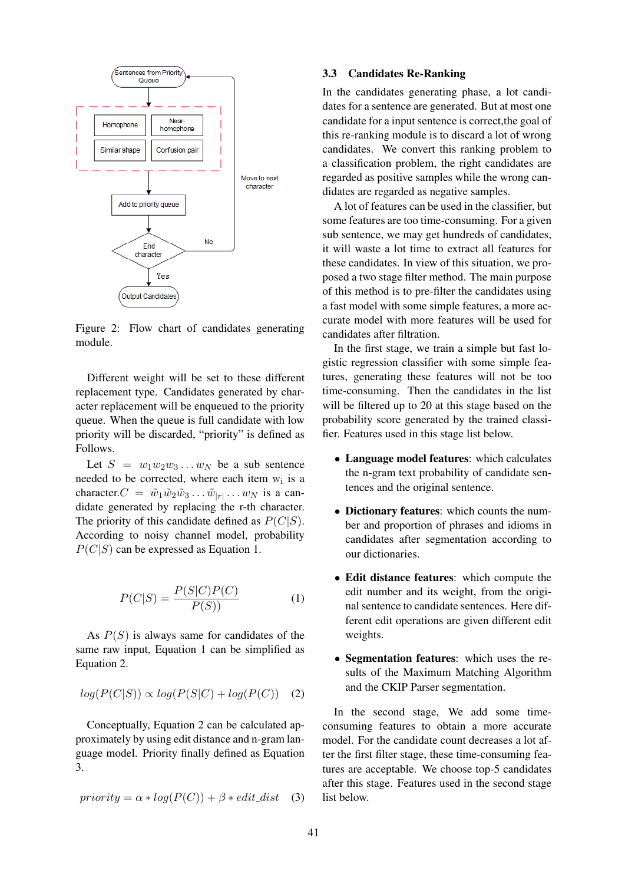

Figure 2: Flow chart of candidates generating module.

Different weight will be set to these different replacement type. Candidates generated by character replacement will be enqueued to the priority queue. When the queue is full candidate with low priority will be discarded, "priority" is defined as Follows.

Let  $S = w_1w_2w_3...w_N$  be a sub sentence needed to be corrected, where each item  $w_i$  is a character.  $C = \tilde{w}_1 \tilde{w}_2 \tilde{w}_3 \dots \tilde{w}_{|r|} \dots w_N$  is a candidate generated by replacing the r-th character. The priority of this candidate defined as  $P(C|S)$ . According to noisy channel model, probability  $P(C|S)$  can be expressed as Equation 1.

$$
P(C|S) = \frac{P(S|C)P(C)}{P(S))}
$$
\n<sup>(1)</sup>

As  $P(S)$  is always same for candidates of the same raw input, Equation 1 can be simplified as Equation 2.

$$
log(P(C|S)) \propto log(P(S|C) + log(P(C)) \quad (2)
$$

Conceptually, Equation 2 can be calculated approximately by using edit distance and n-gram language model. Priority finally defined as Equation 3.

$$
priority = \alpha * log(P(C)) + \beta * edit\_dist \quad (3)
$$

#### 3.3 Candidates Re-Ranking

In the candidates generating phase, a lot candidates for a sentence are generated. But at most one candidate for a input sentence is correct,the goal of this re-ranking module is to discard a lot of wrong candidates. We convert this ranking problem to a classification problem, the right candidates are regarded as positive samples while the wrong candidates are regarded as negative samples.

A lot of features can be used in the classifier, but some features are too time-consuming. For a given sub sentence, we may get hundreds of candidates, it will waste a lot time to extract all features for these candidates. In view of this situation, we proposed a two stage filter method. The main purpose of this method is to pre-filter the candidates using a fast model with some simple features, a more accurate model with more features will be used for candidates after filtration.

In the first stage, we train a simple but fast logistic regression classifier with some simple features, generating these features will not be too time-consuming. Then the candidates in the list will be filtered up to 20 at this stage based on the probability score generated by the trained classifier. Features used in this stage list below.

- Language model features: which calculates the n-gram text probability of candidate sentences and the original sentence.
- Dictionary features: which counts the number and proportion of phrases and idioms in candidates after segmentation according to our dictionaries.
- Edit distance features: which compute the edit number and its weight, from the original sentence to candidate sentences. Here different edit operations are given different edit weights.
- Segmentation features: which uses the results of the Maximum Matching Algorithm and the CKIP Parser segmentation.

In the second stage, We add some timeconsuming features to obtain a more accurate model. For the candidate count decreases a lot after the first filter stage, these time-consuming features are acceptable. We choose top-5 candidates after this stage. Features used in the second stage list below.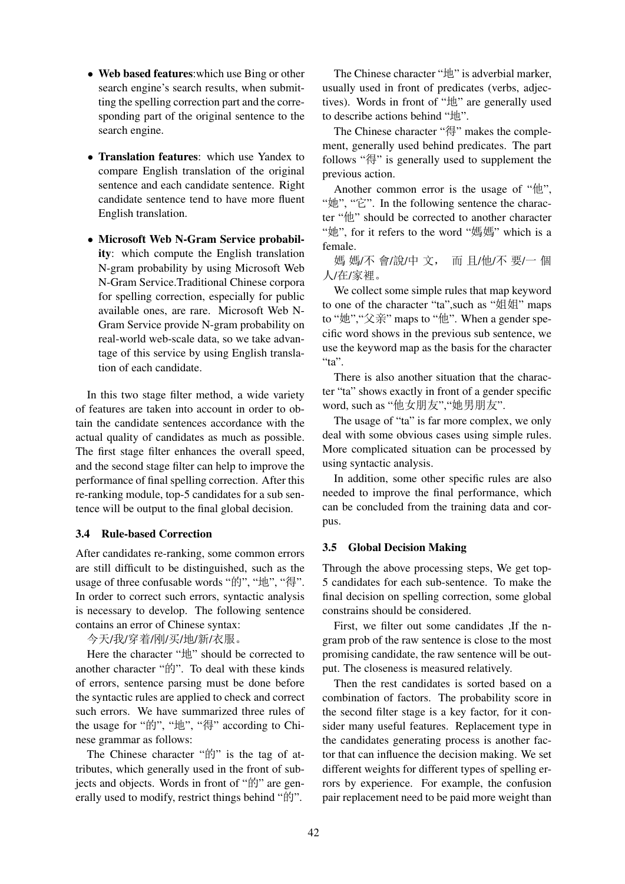- Web based features: which use Bing or other search engine's search results, when submitting the spelling correction part and the corresponding part of the original sentence to the search engine.
- Translation features: which use Yandex to compare English translation of the original sentence and each candidate sentence. Right candidate sentence tend to have more fluent English translation.
- Microsoft Web N-Gram Service probability: which compute the English translation N-gram probability by using Microsoft Web N-Gram Service.Traditional Chinese corpora for spelling correction, especially for public available ones, are rare. Microsoft Web N-Gram Service provide N-gram probability on real-world web-scale data, so we take advantage of this service by using English translation of each candidate.

In this two stage filter method, a wide variety of features are taken into account in order to obtain the candidate sentences accordance with the actual quality of candidates as much as possible. The first stage filter enhances the overall speed, and the second stage filter can help to improve the performance of final spelling correction. After this re-ranking module, top-5 candidates for a sub sentence will be output to the final global decision.

# 3.4 Rule-based Correction

After candidates re-ranking, some common errors are still difficult to be distinguished, such as the usage of three confusable words "的", "地", "得". In order to correct such errors, syntactic analysis is necessary to develop. The following sentence contains an error of Chinese syntax:

今天/我/穿着/刚/买/地/新/衣服。

Here the character "地" should be corrected to another character "的". To deal with these kinds of errors, sentence parsing must be done before the syntactic rules are applied to check and correct such errors. We have summarized three rules of the usage for "的", "地", "得" according to Chinese grammar as follows:

The Chinese character "的" is the tag of attributes, which generally used in the front of subjects and objects. Words in front of "的" are generally used to modify, restrict things behind "的".

The Chinese character " $\sharp$ h" is adverbial marker, usually used in front of predicates (verbs, adjectives). Words in front of "地" are generally used to describe actions behind "地".

The Chinese character "得" makes the complement, generally used behind predicates. The part follows "得" is generally used to supplement the previous action.

Another common error is the usage of " $#$ ", "她", "它". In the following sentence the character "他" should be corrected to another character "她", for it refers to the word " $\frac{1}{2}$ " which is a female.

媽 媽/不 會/說/中 文, 而 且/他/不 要/一 個 人/在/家裡。

We collect some simple rules that map keyword to one of the character "ta", such as " $#$  $#$ " maps to "她", "父亲" maps to "他". When a gender specific word shows in the previous sub sentence, we use the keyword map as the basis for the character "ta".

There is also another situation that the character "ta" shows exactly in front of a gender specific word, such as "他女朋友", "她男朋友".

The usage of "ta" is far more complex, we only deal with some obvious cases using simple rules. More complicated situation can be processed by using syntactic analysis.

In addition, some other specific rules are also needed to improve the final performance, which can be concluded from the training data and corpus.

# 3.5 Global Decision Making

Through the above processing steps, We get top-5 candidates for each sub-sentence. To make the final decision on spelling correction, some global constrains should be considered.

First, we filter out some candidates ,If the ngram prob of the raw sentence is close to the most promising candidate, the raw sentence will be output. The closeness is measured relatively.

Then the rest candidates is sorted based on a combination of factors. The probability score in the second filter stage is a key factor, for it consider many useful features. Replacement type in the candidates generating process is another factor that can influence the decision making. We set different weights for different types of spelling errors by experience. For example, the confusion pair replacement need to be paid more weight than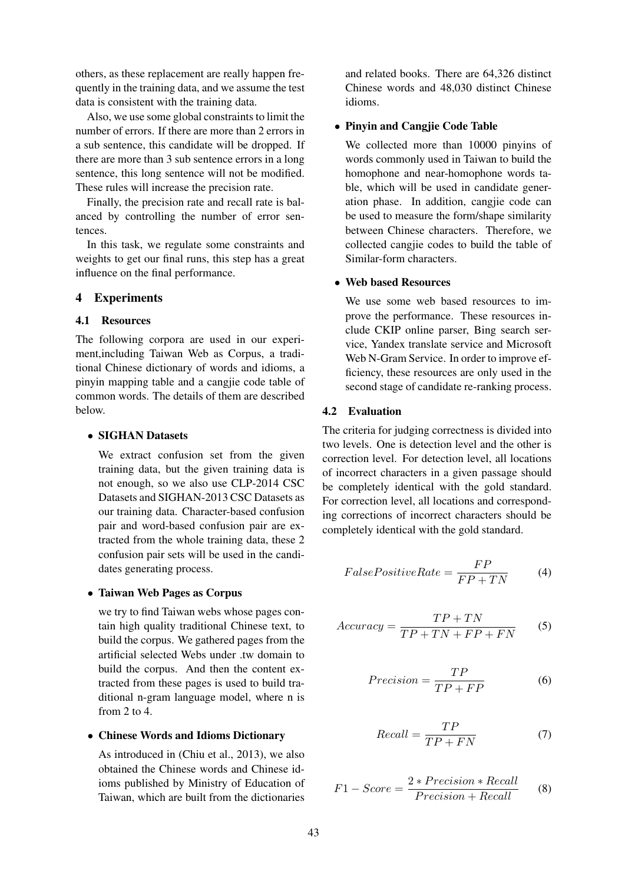others, as these replacement are really happen frequently in the training data, and we assume the test data is consistent with the training data.

Also, we use some global constraints to limit the number of errors. If there are more than 2 errors in a sub sentence, this candidate will be dropped. If there are more than 3 sub sentence errors in a long sentence, this long sentence will not be modified. These rules will increase the precision rate.

Finally, the precision rate and recall rate is balanced by controlling the number of error sentences.

In this task, we regulate some constraints and weights to get our final runs, this step has a great influence on the final performance.

# 4 Experiments

# 4.1 Resources

The following corpora are used in our experiment,including Taiwan Web as Corpus, a traditional Chinese dictionary of words and idioms, a pinyin mapping table and a cangjie code table of common words. The details of them are described below.

### • SIGHAN Datasets

We extract confusion set from the given training data, but the given training data is not enough, so we also use CLP-2014 CSC Datasets and SIGHAN-2013 CSC Datasets as our training data. Character-based confusion pair and word-based confusion pair are extracted from the whole training data, these 2 confusion pair sets will be used in the candidates generating process.

#### • Taiwan Web Pages as Corpus

we try to find Taiwan webs whose pages contain high quality traditional Chinese text, to build the corpus. We gathered pages from the artificial selected Webs under .tw domain to build the corpus. And then the content extracted from these pages is used to build traditional n-gram language model, where n is from 2 to 4.

### • Chinese Words and Idioms Dictionary

As introduced in (Chiu et al., 2013), we also obtained the Chinese words and Chinese idioms published by Ministry of Education of Taiwan, which are built from the dictionaries and related books. There are 64,326 distinct Chinese words and 48,030 distinct Chinese idioms.

### • Pinyin and Cangjie Code Table

We collected more than 10000 pinyins of words commonly used in Taiwan to build the homophone and near-homophone words table, which will be used in candidate generation phase. In addition, cangjie code can be used to measure the form/shape similarity between Chinese characters. Therefore, we collected cangjie codes to build the table of Similar-form characters.

### • Web based Resources

We use some web based resources to improve the performance. These resources include CKIP online parser, Bing search service, Yandex translate service and Microsoft Web N-Gram Service. In order to improve efficiency, these resources are only used in the second stage of candidate re-ranking process.

### 4.2 Evaluation

The criteria for judging correctness is divided into two levels. One is detection level and the other is correction level. For detection level, all locations of incorrect characters in a given passage should be completely identical with the gold standard. For correction level, all locations and corresponding corrections of incorrect characters should be completely identical with the gold standard.

$$
False Positive Rate = \frac{FP}{FP + TN} \tag{4}
$$

$$
Accuracy = \frac{TP + TN}{TP + TN + FP + FN}
$$
 (5)

$$
Precision = \frac{TP}{TP + FP}
$$
 (6)

$$
Recall = \frac{TP}{TP + FN} \tag{7}
$$

$$
F1 - Score = \frac{2 * Precision * Recall}{Precision + Recall}
$$
 (8)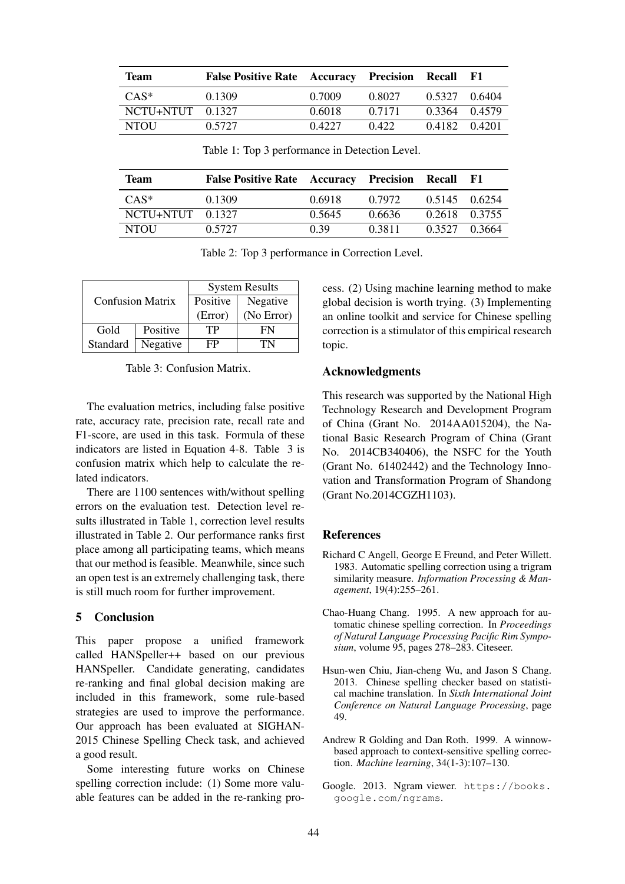| <b>Team</b>                   | <b>False Positive Rate</b> Accuracy Precision Recall F1 |        |        |               |  |
|-------------------------------|---------------------------------------------------------|--------|--------|---------------|--|
| $CAS^*$                       | 0.1309                                                  | 0.7009 | 0.8027 | 0.5327 0.6404 |  |
| NCTU <sub>+</sub> NTUT 0.1327 |                                                         | 0.6018 | 0.7171 | 0.3364 0.4579 |  |
| NTOU                          | 0.5727                                                  | 0.4227 | 0.422  | 0.4182 0.4201 |  |

Table 1: Top 3 performance in Detection Level.

| <b>Team</b>                   | <b>False Positive Rate</b> Accuracy Precision Recall |        |        |               | - F1 |
|-------------------------------|------------------------------------------------------|--------|--------|---------------|------|
| $CAS^*$                       | 0.1309                                               | 0.6918 | 0.7972 | 0.5145 0.6254 |      |
| NCTU <sub>+</sub> NTUT 0.1327 |                                                      | 0.5645 | 0.6636 | 0.2618 0.3755 |      |
| <b>NTOU</b>                   | 0.5727                                               | 0.39   | 0.3811 | 0.3527 0.3664 |      |

Table 2: Top 3 performance in Correction Level.

|                         |          | <b>System Results</b> |            |  |
|-------------------------|----------|-----------------------|------------|--|
| <b>Confusion Matrix</b> |          | Positive              | Negative   |  |
|                         |          | (Error)               | (No Error) |  |
| Gold                    | Positive | TР                    | FN         |  |
| Standard                | Negative | FP                    | 'FN        |  |

Table 3: Confusion Matrix.

The evaluation metrics, including false positive rate, accuracy rate, precision rate, recall rate and F1-score, are used in this task. Formula of these indicators are listed in Equation 4-8. Table 3 is confusion matrix which help to calculate the related indicators.

There are 1100 sentences with/without spelling errors on the evaluation test. Detection level results illustrated in Table 1, correction level results illustrated in Table 2. Our performance ranks first place among all participating teams, which means that our method is feasible. Meanwhile, since such an open test is an extremely challenging task, there is still much room for further improvement.

# 5 Conclusion

This paper propose a unified framework called HANSpeller++ based on our previous HANSpeller. Candidate generating, candidates re-ranking and final global decision making are included in this framework, some rule-based strategies are used to improve the performance. Our approach has been evaluated at SIGHAN-2015 Chinese Spelling Check task, and achieved a good result.

Some interesting future works on Chinese spelling correction include: (1) Some more valuable features can be added in the re-ranking process. (2) Using machine learning method to make global decision is worth trying. (3) Implementing an online toolkit and service for Chinese spelling correction is a stimulator of this empirical research topic.

# Acknowledgments

This research was supported by the National High Technology Research and Development Program of China (Grant No. 2014AA015204), the National Basic Research Program of China (Grant No. 2014CB340406), the NSFC for the Youth (Grant No. 61402442) and the Technology Innovation and Transformation Program of Shandong (Grant No.2014CGZH1103).

# References

- Richard C Angell, George E Freund, and Peter Willett. 1983. Automatic spelling correction using a trigram similarity measure. *Information Processing & Management*, 19(4):255–261.
- Chao-Huang Chang. 1995. A new approach for automatic chinese spelling correction. In *Proceedings of Natural Language Processing Pacific Rim Symposium*, volume 95, pages 278–283. Citeseer.
- Hsun-wen Chiu, Jian-cheng Wu, and Jason S Chang. 2013. Chinese spelling checker based on statistical machine translation. In *Sixth International Joint Conference on Natural Language Processing*, page 49.
- Andrew R Golding and Dan Roth. 1999. A winnowbased approach to context-sensitive spelling correction. *Machine learning*, 34(1-3):107–130.
- Google. 2013. Ngram viewer. https://books. google.com/ngrams.